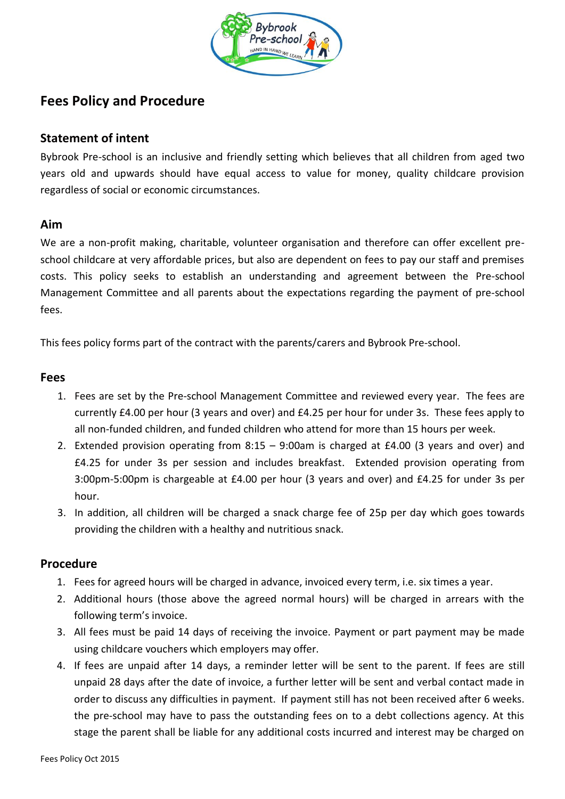

# **Fees Policy and Procedure**

## **Statement of intent**

Bybrook Pre-school is an inclusive and friendly setting which believes that all children from aged two years old and upwards should have equal access to value for money, quality childcare provision regardless of social or economic circumstances.

### **Aim**

We are a non-profit making, charitable, volunteer organisation and therefore can offer excellent preschool childcare at very affordable prices, but also are dependent on fees to pay our staff and premises costs. This policy seeks to establish an understanding and agreement between the Pre-school Management Committee and all parents about the expectations regarding the payment of pre-school fees.

This fees policy forms part of the contract with the parents/carers and Bybrook Pre-school.

#### **Fees**

- 1. Fees are set by the Pre-school Management Committee and reviewed every year. The fees are currently £4.00 per hour (3 years and over) and £4.25 per hour for under 3s. These fees apply to all non-funded children, and funded children who attend for more than 15 hours per week.
- 2. Extended provision operating from 8:15 9:00am is charged at £4.00 (3 years and over) and £4.25 for under 3s per session and includes breakfast. Extended provision operating from 3:00pm-5:00pm is chargeable at £4.00 per hour (3 years and over) and £4.25 for under 3s per hour.
- 3. In addition, all children will be charged a snack charge fee of 25p per day which goes towards providing the children with a healthy and nutritious snack.

### **Procedure**

- 1. Fees for agreed hours will be charged in advance, invoiced every term, i.e. six times a year.
- 2. Additional hours (those above the agreed normal hours) will be charged in arrears with the following term's invoice.
- 3. All fees must be paid 14 days of receiving the invoice. Payment or part payment may be made using childcare vouchers which employers may offer.
- 4. If fees are unpaid after 14 days, a reminder letter will be sent to the parent. If fees are still unpaid 28 days after the date of invoice, a further letter will be sent and verbal contact made in order to discuss any difficulties in payment. If payment still has not been received after 6 weeks. the pre-school may have to pass the outstanding fees on to a debt collections agency. At this stage the parent shall be liable for any additional costs incurred and interest may be charged on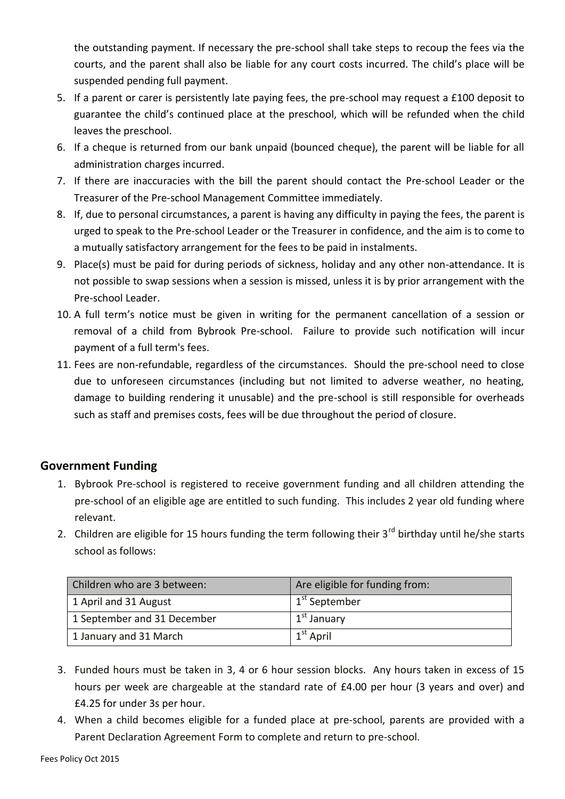the outstanding payment. If necessary the pre-school shall take steps to recoup the fees via the courts, and the parent shall also be liable for any court costs incurred. The child's place will be suspended pending full payment.

- 5. If a parent or carer is persistently late paying fees, the pre-school may request a £100 deposit to guarantee the child's continued place at the preschool, which will be refunded when the child leaves the preschool.
- 6. If a cheque is returned from our bank unpaid (bounced cheque), the parent will be liable for all administration charges incurred.
- 7. If there are inaccuracies with the bill the parent should contact the Pre-school Leader or the Treasurer of the Pre-school Management Committee immediately.
- 8. If, due to personal circumstances, a parent is having any difficulty in paying the fees, the parent is urged to speak to the Pre-school Leader or the Treasurer in confidence, and the aim is to come to a mutually satisfactory arrangement for the fees to be paid in instalments.
- 9. Place(s) must be paid for during periods of sickness, holiday and any other non-attendance. It is not possible to swap sessions when a session is missed, unless it is by prior arrangement with the Pre-school Leader.
- 10. A full term's notice must be given in writing for the permanent cancellation of a session or removal of a child from Bybrook Pre-school. Failure to provide such notification will incur payment of a full term's fees.
- 11. Fees are non-refundable, regardless of the circumstances. Should the pre-school need to close due to unforeseen circumstances (including but not limited to adverse weather, no heating, damage to building rendering it unusable) and the pre-school is still responsible for overheads such as staff and premises costs, fees will be due throughout the period of closure.

# **Government Funding**

- 1. Bybrook Pre-school is registered to receive government funding and all children attending the pre-school of an eligible age are entitled to such funding. This includes 2 year old funding where relevant.
- 2. Children are eligible for 15 hours funding the term following their  $3^{rd}$  birthday until he/she starts school as follows:

| Children who are 3 between: | Are eligible for funding from: |
|-----------------------------|--------------------------------|
| 1 April and 31 August       | 1 <sup>st</sup> September      |
| 1 September and 31 December | 1 <sup>st</sup> January        |
| 1 January and 31 March      | $1st$ April                    |

- 3. Funded hours must be taken in 3, 4 or 6 hour session blocks. Any hours taken in excess of 15 hours per week are chargeable at the standard rate of £4.00 per hour (3 years and over) and £4.25 for under 3s per hour.
- 4. When a child becomes eligible for a funded place at pre-school, parents are provided with a Parent Declaration Agreement Form to complete and return to pre-school.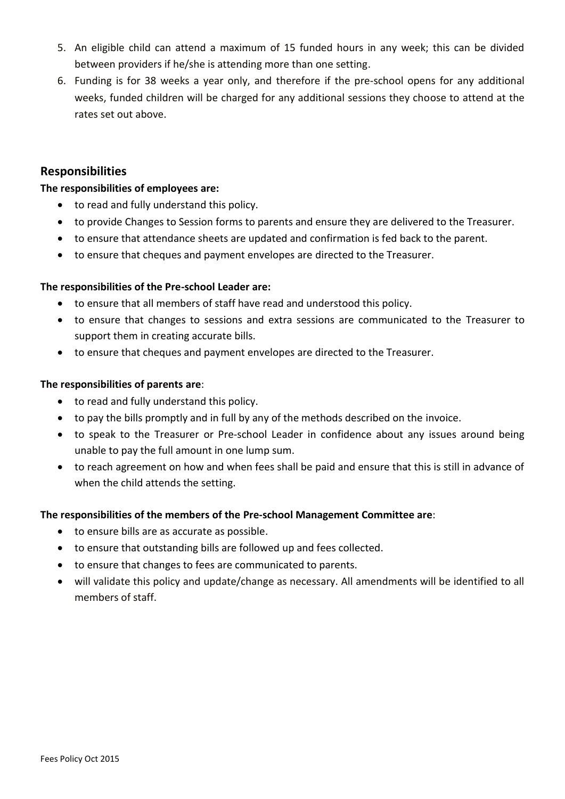- 5. An eligible child can attend a maximum of 15 funded hours in any week; this can be divided between providers if he/she is attending more than one setting.
- 6. Funding is for 38 weeks a year only, and therefore if the pre-school opens for any additional weeks, funded children will be charged for any additional sessions they choose to attend at the rates set out above.

### **Responsibilities**

### **The responsibilities of employees are:**

- to read and fully understand this policy.
- to provide Changes to Session forms to parents and ensure they are delivered to the Treasurer.
- to ensure that attendance sheets are updated and confirmation is fed back to the parent.
- to ensure that cheques and payment envelopes are directed to the Treasurer.

#### **The responsibilities of the Pre-school Leader are:**

- to ensure that all members of staff have read and understood this policy.
- to ensure that changes to sessions and extra sessions are communicated to the Treasurer to support them in creating accurate bills.
- to ensure that cheques and payment envelopes are directed to the Treasurer.

#### **The responsibilities of parents are**:

- to read and fully understand this policy.
- to pay the bills promptly and in full by any of the methods described on the invoice.
- to speak to the Treasurer or Pre-school Leader in confidence about any issues around being unable to pay the full amount in one lump sum.
- to reach agreement on how and when fees shall be paid and ensure that this is still in advance of when the child attends the setting.

#### **The responsibilities of the members of the Pre-school Management Committee are**:

- to ensure bills are as accurate as possible.
- to ensure that outstanding bills are followed up and fees collected.
- to ensure that changes to fees are communicated to parents.
- will validate this policy and update/change as necessary. All amendments will be identified to all members of staff.